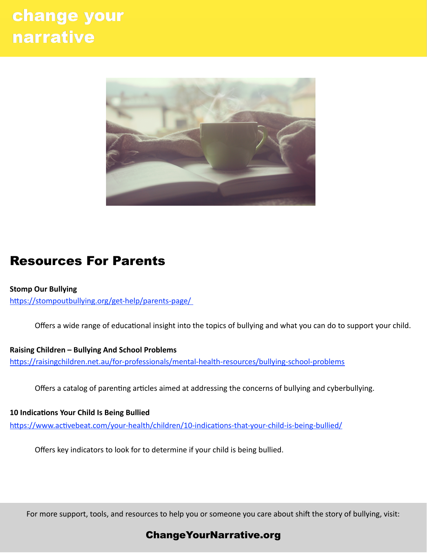# change your **narrative**



# Resources For Parents

**Stomp Our Bullying**  https://stompoutbullying.org/get-help/parents-page/

Offers a wide range of educational insight into the topics of bullying and what you can do to support your child.

**Raising Children – Bullying And School Problems**  https://raisingchildren.net.au/for-professionals/mental-health-resources/bullying-school-problems

Offers a catalog of parenting articles aimed at addressing the concerns of bullying and cyberbullying.

**10 Indications Your Child Is Being Bullied** 

https://www.activebeat.com/your-health/children/10-indications-that-your-child-is-being-bullied/

Offers key indicators to look for to determine if your child is being bullied.

For more support, tools, and resources to help you or someone you care about shift the story of bullying, visit:

## [ChangeYourNarrative.org](http://ChangeYourNarrative.org)